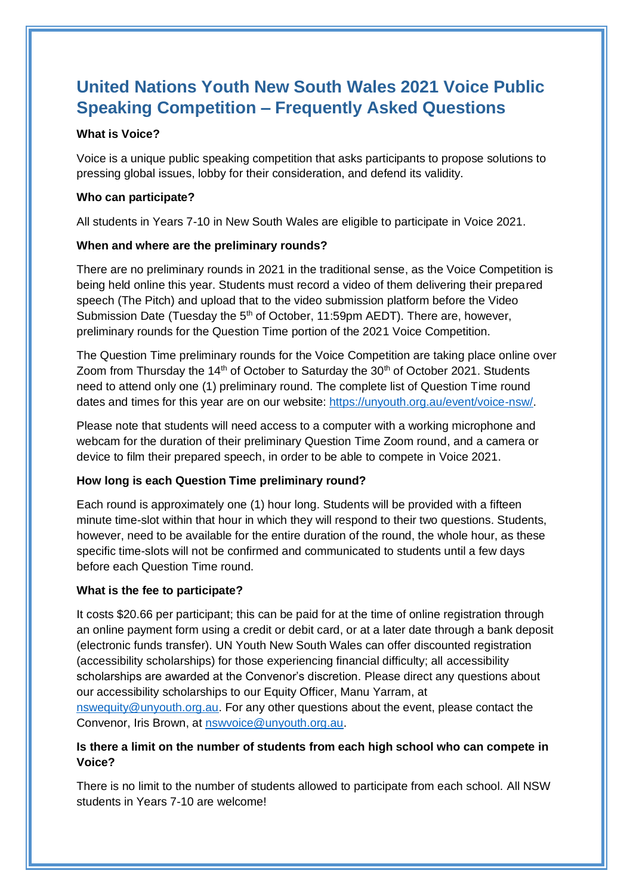# **United Nations Youth New South Wales 2021 Voice Public Speaking Competition – Frequently Asked Questions**

## **What is Voice?**

Voice is a unique public speaking competition that asks participants to propose solutions to pressing global issues, lobby for their consideration, and defend its validity.

## **Who can participate?**

All students in Years 7-10 in New South Wales are eligible to participate in Voice 2021.

## **When and where are the preliminary rounds?**

There are no preliminary rounds in 2021 in the traditional sense, as the Voice Competition is being held online this year. Students must record a video of them delivering their prepared speech (The Pitch) and upload that to the video submission platform before the Video Submission Date (Tuesday the  $5<sup>th</sup>$  of October, 11:59pm AEDT). There are, however, preliminary rounds for the Question Time portion of the 2021 Voice Competition.

The Question Time preliminary rounds for the Voice Competition are taking place online over Zoom from Thursday the  $14<sup>th</sup>$  of October to Saturday the  $30<sup>th</sup>$  of October 2021. Students need to attend only one (1) preliminary round. The complete list of Question Time round dates and times for this year are on our website: [https://unyouth.org.au/event/voice-nsw/.](https://unyouth.org.au/event/voice-nsw/)

Please note that students will need access to a computer with a working microphone and webcam for the duration of their preliminary Question Time Zoom round, and a camera or device to film their prepared speech, in order to be able to compete in Voice 2021.

# **How long is each Question Time preliminary round?**

Each round is approximately one (1) hour long. Students will be provided with a fifteen minute time-slot within that hour in which they will respond to their two questions. Students, however, need to be available for the entire duration of the round, the whole hour, as these specific time-slots will not be confirmed and communicated to students until a few days before each Question Time round.

#### **What is the fee to participate?**

It costs \$20.66 per participant; this can be paid for at the time of online registration through an online payment form using a credit or debit card, or at a later date through a bank deposit (electronic funds transfer). UN Youth New South Wales can offer discounted registration (accessibility scholarships) for those experiencing financial difficulty; all accessibility scholarships are awarded at the Convenor's discretion. Please direct any questions about our accessibility scholarships to our Equity Officer, Manu Yarram, at [nswequity@unyouth.org.au.](mailto:nswequity@unyouth.org.au) For any other questions about the event, please contact the Convenor, Iris Brown, at [nswvoice@unyouth.org.au.](mailto:nswvoice@unyouth.org.au)

# **Is there a limit on the number of students from each high school who can compete in Voice?**

There is no limit to the number of students allowed to participate from each school. All NSW students in Years 7-10 are welcome!